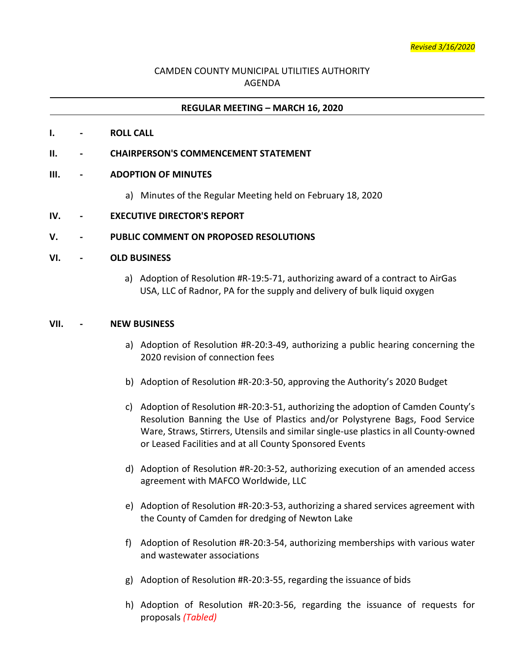# CAMDEN COUNTY MUNICIPAL UTILITIES AUTHORITY AGENDA

### **REGULAR MEETING – MARCH 16, 2020**

#### **I. - ROLL CALL**

#### **II. - CHAIRPERSON'S COMMENCEMENT STATEMENT**

#### **III. - ADOPTION OF MINUTES**

a) Minutes of the Regular Meeting held on February 18, 2020

#### **IV. - EXECUTIVE DIRECTOR'S REPORT**

#### **V. - PUBLIC COMMENT ON PROPOSED RESOLUTIONS**

#### **VI. - OLD BUSINESS**

a) Adoption of Resolution #R-19:5-71, authorizing award of a contract to AirGas USA, LLC of Radnor, PA for the supply and delivery of bulk liquid oxygen

#### **VII. - NEW BUSINESS**

- a) Adoption of Resolution #R-20:3-49, authorizing a public hearing concerning the 2020 revision of connection fees
- b) Adoption of Resolution #R-20:3-50, approving the Authority's 2020 Budget
- c) Adoption of Resolution #R-20:3-51, authorizing the adoption of Camden County's Resolution Banning the Use of Plastics and/or Polystyrene Bags, Food Service Ware, Straws, Stirrers, Utensils and similar single-use plastics in all County-owned or Leased Facilities and at all County Sponsored Events
- d) Adoption of Resolution #R-20:3-52, authorizing execution of an amended access agreement with MAFCO Worldwide, LLC
- e) Adoption of Resolution #R-20:3-53, authorizing a shared services agreement with the County of Camden for dredging of Newton Lake
- f) Adoption of Resolution #R-20:3-54, authorizing memberships with various water and wastewater associations
- g) Adoption of Resolution #R-20:3-55, regarding the issuance of bids
- h) Adoption of Resolution #R-20:3-56, regarding the issuance of requests for proposals *(Tabled)*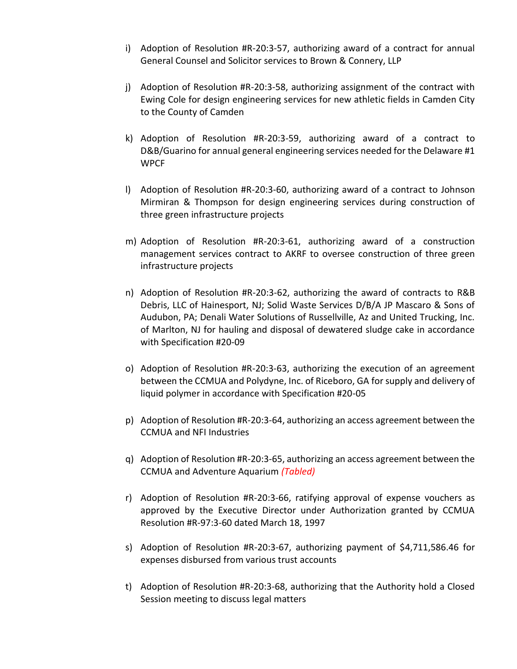- i) Adoption of Resolution #R-20:3-57, authorizing award of a contract for annual General Counsel and Solicitor services to Brown & Connery, LLP
- j) Adoption of Resolution #R-20:3-58, authorizing assignment of the contract with Ewing Cole for design engineering services for new athletic fields in Camden City to the County of Camden
- k) Adoption of Resolution #R-20:3-59, authorizing award of a contract to D&B/Guarino for annual general engineering services needed for the Delaware #1 WPCF
- l) Adoption of Resolution #R-20:3-60, authorizing award of a contract to Johnson Mirmiran & Thompson for design engineering services during construction of three green infrastructure projects
- m) Adoption of Resolution #R-20:3-61, authorizing award of a construction management services contract to AKRF to oversee construction of three green infrastructure projects
- n) Adoption of Resolution #R-20:3-62, authorizing the award of contracts to R&B Debris, LLC of Hainesport, NJ; Solid Waste Services D/B/A JP Mascaro & Sons of Audubon, PA; Denali Water Solutions of Russellville, Az and United Trucking, Inc. of Marlton, NJ for hauling and disposal of dewatered sludge cake in accordance with Specification #20-09
- o) Adoption of Resolution #R-20:3-63, authorizing the execution of an agreement between the CCMUA and Polydyne, Inc. of Riceboro, GA for supply and delivery of liquid polymer in accordance with Specification #20-05
- p) Adoption of Resolution #R-20:3-64, authorizing an access agreement between the CCMUA and NFI Industries
- q) Adoption of Resolution #R-20:3-65, authorizing an access agreement between the CCMUA and Adventure Aquarium *(Tabled)*
- r) Adoption of Resolution #R-20:3-66, ratifying approval of expense vouchers as approved by the Executive Director under Authorization granted by CCMUA Resolution #R-97:3-60 dated March 18, 1997
- s) Adoption of Resolution #R-20:3-67, authorizing payment of \$4,711,586.46 for expenses disbursed from various trust accounts
- t) Adoption of Resolution #R-20:3-68, authorizing that the Authority hold a Closed Session meeting to discuss legal matters